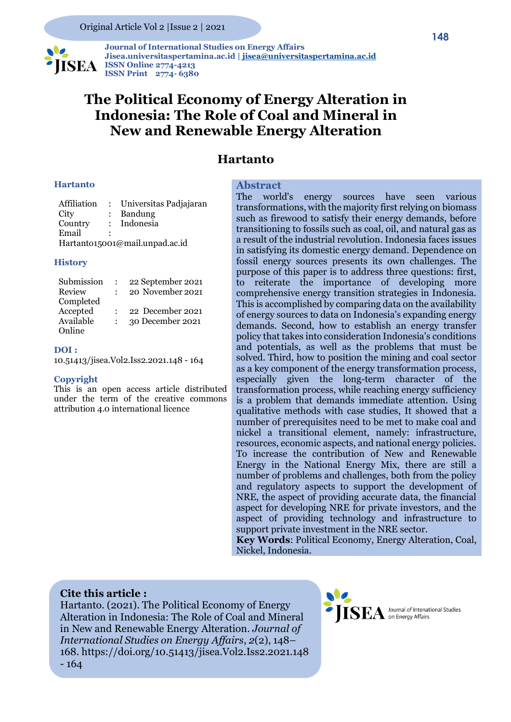

 **Journal of International Studies on Energy Affairs Jisea.universitaspertamina.ac.id [| jisea@universitaspertamina.ac.id](mailto:jisea@universitaspertamina.ac.id) ISEA ISSN** Online 2774-4213 **ISSN Print 2774- 6380**

## **The Political Economy of Energy Alteration in Indonesia: The Role of Coal and Mineral in New and Renewable Energy Alteration**

#### **Hartanto**

#### **Hartanto**

| Affiliation                    | $\mathcal{L}$ | Universitas Padjajaran |  |  |
|--------------------------------|---------------|------------------------|--|--|
| City                           |               | Bandung                |  |  |
| Country                        |               | Indonesia              |  |  |
| Email                          |               |                        |  |  |
| Hartanto15001@mail.unpad.ac.id |               |                        |  |  |

#### **History**

| Submission | 22 September 2021 |
|------------|-------------------|
| Review     | 20 November 2021  |
| Completed  |                   |
| Accepted   | 22 December 2021  |
| Available  | 30 December 2021  |
| Online     |                   |

#### **DOI :**

10.51413/jisea.Vol2.Iss2.2021.148 - 164

#### **Copyright**

This is an open access article distributed under the term of the creative commons attribution 4.0 international licence

#### **Abstract**

The world's energy sources have seen various transformations, with the majority first relying on biomass such as firewood to satisfy their energy demands, before transitioning to fossils such as coal, oil, and natural gas as a result of the industrial revolution. Indonesia faces issues in satisfying its domestic energy demand. Dependence on fossil energy sources presents its own challenges. The purpose of this paper is to address three questions: first, to reiterate the importance of developing more comprehensive energy transition strategies in Indonesia. This is accomplished by comparing data on the availability of energy sources to data on Indonesia's expanding energy demands. Second, how to establish an energy transfer policy that takes into consideration Indonesia's conditions and potentials, as well as the problems that must be solved. Third, how to position the mining and coal sector as a key component of the energy transformation process, especially given the long-term character of the transformation process, while reaching energy sufficiency is a problem that demands immediate attention. Using qualitative methods with case studies, It showed that a number of prerequisites need to be met to make coal and nickel a transitional element, namely: infrastructure, resources, economic aspects, and national energy policies. To increase the contribution of New and Renewable Energy in the National Energy Mix, there are still a number of problems and challenges, both from the policy and regulatory aspects to support the development of NRE, the aspect of providing accurate data, the financial aspect for developing NRE for private investors, and the aspect of providing technology and infrastructure to support private investment in the NRE sector.

**Key Words**: Political Economy, Energy Alteration, Coal, Nickel, Indonesia.

#### **Cite this article :**

Hartanto. (2021). The Political Economy of Energy Alteration in Indonesia: The Role of Coal and Mineral in New and Renewable Energy Alteration. *Journal of International Studies on Energy Affairs*, *2*(2), 148– 168. https://doi.org/10.51413/jisea.Vol2.Iss2.2021.148 - 164

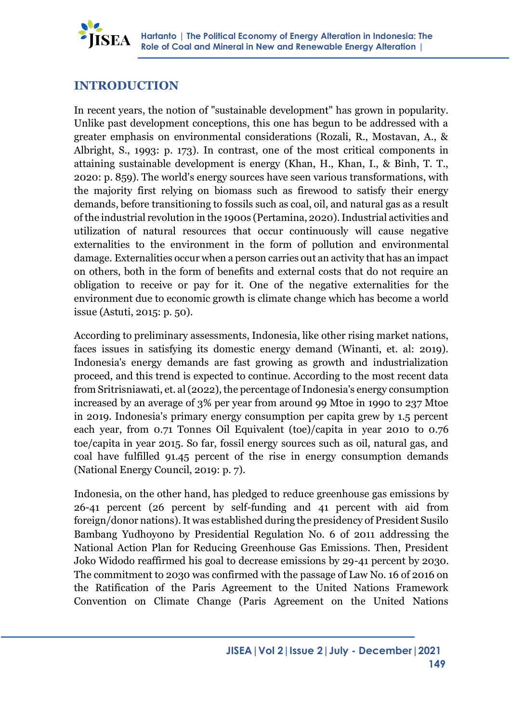

### **INTRODUCTION**

In recent years, the notion of "sustainable development" has grown in popularity. Unlike past development conceptions, this one has begun to be addressed with a greater emphasis on environmental considerations (Rozali, R., Mostavan, A., & Albright, S., 1993: p. 173). In contrast, one of the most critical components in attaining sustainable development is energy (Khan, H., Khan, I., & Binh, T. T., 2020: p. 859). The world's energy sources have seen various transformations, with the majority first relying on biomass such as firewood to satisfy their energy demands, before transitioning to fossils such as coal, oil, and natural gas as a result of the industrial revolution in the 1900s (Pertamina, 2020). Industrial activities and utilization of natural resources that occur continuously will cause negative externalities to the environment in the form of pollution and environmental damage. Externalities occur when a person carries out an activity that has an impact on others, both in the form of benefits and external costs that do not require an obligation to receive or pay for it. One of the negative externalities for the environment due to economic growth is climate change which has become a world issue (Astuti, 2015: p. 50).

According to preliminary assessments, Indonesia, like other rising market nations, faces issues in satisfying its domestic energy demand (Winanti, et. al: 2019). Indonesia's energy demands are fast growing as growth and industrialization proceed, and this trend is expected to continue. According to the most recent data from Sritrisniawati, et. al (2022), the percentage of Indonesia's energy consumption increased by an average of 3% per year from around 99 Mtoe in 1990 to 237 Mtoe in 2019. Indonesia's primary energy consumption per capita grew by 1.5 percent each year, from 0.71 Tonnes Oil Equivalent (toe)/capita in year 2010 to 0.76 toe/capita in year 2015. So far, fossil energy sources such as oil, natural gas, and coal have fulfilled 91.45 percent of the rise in energy consumption demands (National Energy Council, 2019: p. 7).

Indonesia, on the other hand, has pledged to reduce greenhouse gas emissions by 26-41 percent (26 percent by self-funding and 41 percent with aid from foreign/donor nations). It was established during the presidency of President Susilo Bambang Yudhoyono by Presidential Regulation No. 6 of 2011 addressing the National Action Plan for Reducing Greenhouse Gas Emissions. Then, President Joko Widodo reaffirmed his goal to decrease emissions by 29-41 percent by 2030. The commitment to 2030 was confirmed with the passage of Law No. 16 of 2016 on the Ratification of the Paris Agreement to the United Nations Framework Convention on Climate Change (Paris Agreement on the United Nations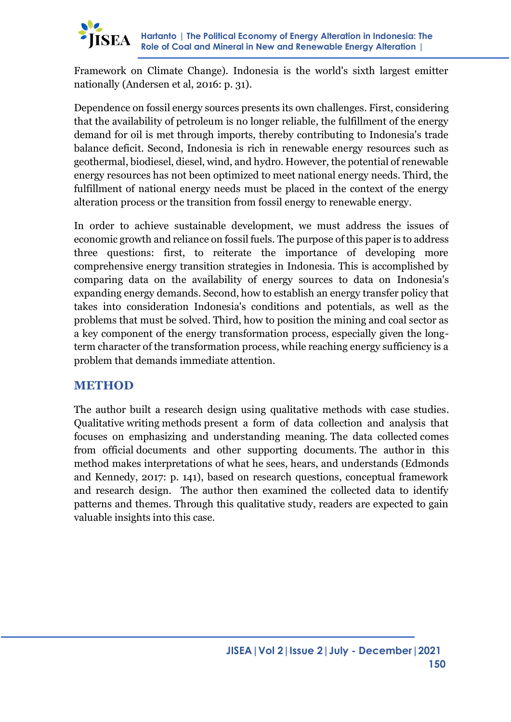

Framework on Climate Change). Indonesia is the world's sixth largest emitter nationally (Andersen et al, 2016: p. 31).

Dependence on fossil energy sources presents its own challenges. First, considering that the availability of petroleum is no longer reliable, the fulfillment of the energy demand for oil is met through imports, thereby contributing to Indonesia's trade balance deficit. Second, Indonesia is rich in renewable energy resources such as geothermal, biodiesel, diesel, wind, and hydro. However, the potential of renewable energy resources has not been optimized to meet national energy needs. Third, the fulfillment of national energy needs must be placed in the context of the energy alteration process or the transition from fossil energy to renewable energy.

In order to achieve sustainable development, we must address the issues of economic growth and reliance on fossil fuels. The purpose of this paper is to address three questions: first, to reiterate the importance of developing more comprehensive energy transition strategies in Indonesia. This is accomplished by comparing data on the availability of energy sources to data on Indonesia's expanding energy demands. Second, how to establish an energy transfer policy that takes into consideration Indonesia's conditions and potentials, as well as the problems that must be solved. Third, how to position the mining and coal sector as a key component of the energy transformation process, especially given the longterm character of the transformation process, while reaching energy sufficiency is a problem that demands immediate attention.

### **METHOD**

The author built a research design using qualitative methods with case studies. Qualitative writing methods present a form of data collection and analysis that focuses on emphasizing and understanding meaning. The data collected comes from official documents and other supporting documents. The author in this method makes interpretations of what he sees, hears, and understands (Edmonds and Kennedy, 2017: p. 141), based on research questions, conceptual framework and research design. The author then examined the collected data to identify patterns and themes. Through this qualitative study, readers are expected to gain valuable insights into this case.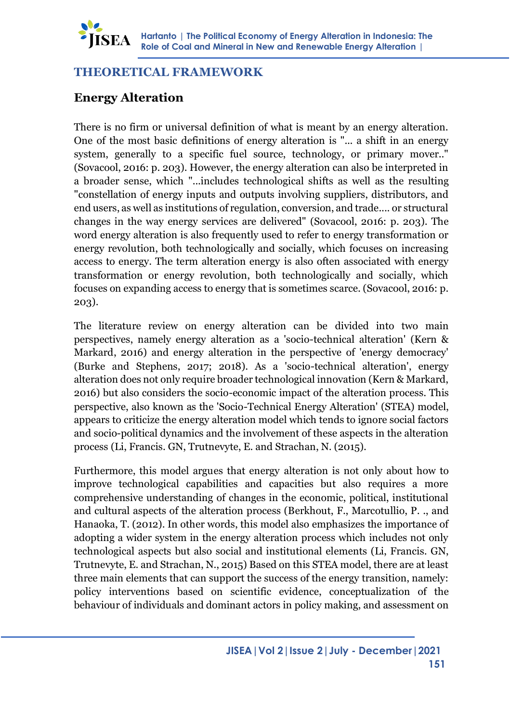

### **THEORETICAL FRAMEWORK**

## **Energy Alteration**

There is no firm or universal definition of what is meant by an energy alteration. One of the most basic definitions of energy alteration is "... a shift in an energy system, generally to a specific fuel source, technology, or primary mover.." (Sovacool, 2016: p. 203). However, the energy alteration can also be interpreted in a broader sense, which "...includes technological shifts as well as the resulting "constellation of energy inputs and outputs involving suppliers, distributors, and end users, as well as institutions of regulation, conversion, and trade.... or structural changes in the way energy services are delivered" (Sovacool, 2016: p. 203). The word energy alteration is also frequently used to refer to energy transformation or energy revolution, both technologically and socially, which focuses on increasing access to energy. The term alteration energy is also often associated with energy transformation or energy revolution, both technologically and socially, which focuses on expanding access to energy that is sometimes scarce. (Sovacool, 2016: p. 203).

The literature review on energy alteration can be divided into two main perspectives, namely energy alteration as a 'socio-technical alteration' (Kern & Markard, 2016) and energy alteration in the perspective of 'energy democracy' (Burke and Stephens, 2017; 2018). As a 'socio-technical alteration', energy alteration does not only require broader technological innovation (Kern & Markard, 2016) but also considers the socio-economic impact of the alteration process. This perspective, also known as the 'Socio-Technical Energy Alteration' (STEA) model, appears to criticize the energy alteration model which tends to ignore social factors and socio-political dynamics and the involvement of these aspects in the alteration process (Li, Francis. GN, Trutnevyte, E. and Strachan, N. (2015).

Furthermore, this model argues that energy alteration is not only about how to improve technological capabilities and capacities but also requires a more comprehensive understanding of changes in the economic, political, institutional and cultural aspects of the alteration process (Berkhout, F., Marcotullio, P. ., and Hanaoka, T. (2012). In other words, this model also emphasizes the importance of adopting a wider system in the energy alteration process which includes not only technological aspects but also social and institutional elements (Li, Francis. GN, Trutnevyte, E. and Strachan, N., 2015) Based on this STEA model, there are at least three main elements that can support the success of the energy transition, namely: policy interventions based on scientific evidence, conceptualization of the behaviour of individuals and dominant actors in policy making, and assessment on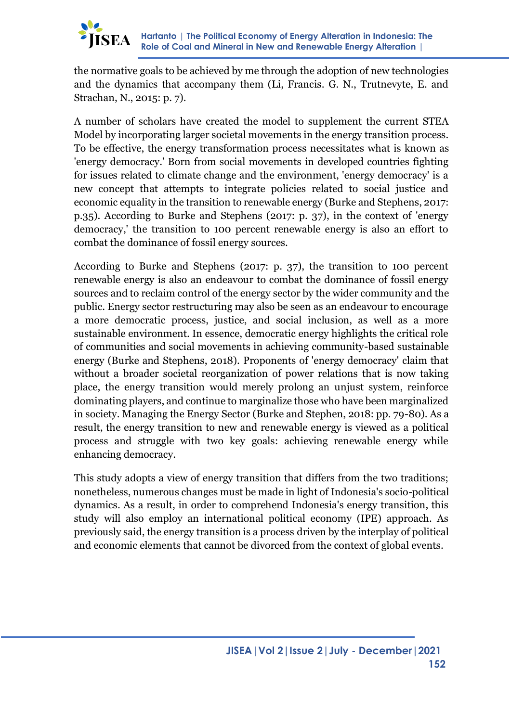

the normative goals to be achieved by me through the adoption of new technologies and the dynamics that accompany them (Li, Francis. G. N., Trutnevyte, E. and Strachan, N., 2015: p. 7).

A number of scholars have created the model to supplement the current STEA Model by incorporating larger societal movements in the energy transition process. To be effective, the energy transformation process necessitates what is known as 'energy democracy.' Born from social movements in developed countries fighting for issues related to climate change and the environment, 'energy democracy' is a new concept that attempts to integrate policies related to social justice and economic equality in the transition to renewable energy (Burke and Stephens, 2017: p.35). According to Burke and Stephens (2017: p. 37), in the context of 'energy democracy,' the transition to 100 percent renewable energy is also an effort to combat the dominance of fossil energy sources.

According to Burke and Stephens (2017: p. 37), the transition to 100 percent renewable energy is also an endeavour to combat the dominance of fossil energy sources and to reclaim control of the energy sector by the wider community and the public. Energy sector restructuring may also be seen as an endeavour to encourage a more democratic process, justice, and social inclusion, as well as a more sustainable environment. In essence, democratic energy highlights the critical role of communities and social movements in achieving community-based sustainable energy (Burke and Stephens, 2018). Proponents of 'energy democracy' claim that without a broader societal reorganization of power relations that is now taking place, the energy transition would merely prolong an unjust system, reinforce dominating players, and continue to marginalize those who have been marginalized in society. Managing the Energy Sector (Burke and Stephen, 2018: pp. 79-80). As a result, the energy transition to new and renewable energy is viewed as a political process and struggle with two key goals: achieving renewable energy while enhancing democracy.

This study adopts a view of energy transition that differs from the two traditions; nonetheless, numerous changes must be made in light of Indonesia's socio-political dynamics. As a result, in order to comprehend Indonesia's energy transition, this study will also employ an international political economy (IPE) approach. As previously said, the energy transition is a process driven by the interplay of political and economic elements that cannot be divorced from the context of global events.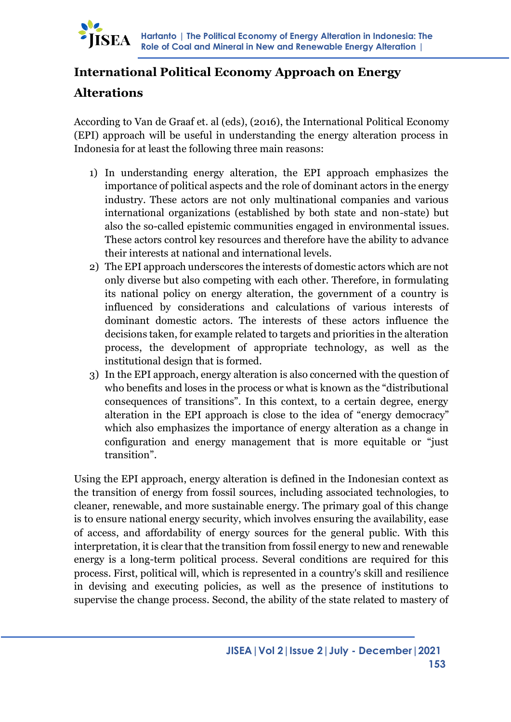## **International Political Economy Approach on Energy**

### **Alterations**

IISEA

According to Van de Graaf et. al (eds), (2016), the International Political Economy (EPI) approach will be useful in understanding the energy alteration process in Indonesia for at least the following three main reasons:

- 1) In understanding energy alteration, the EPI approach emphasizes the importance of political aspects and the role of dominant actors in the energy industry. These actors are not only multinational companies and various international organizations (established by both state and non-state) but also the so-called epistemic communities engaged in environmental issues. These actors control key resources and therefore have the ability to advance their interests at national and international levels.
- 2) The EPI approach underscores the interests of domestic actors which are not only diverse but also competing with each other. Therefore, in formulating its national policy on energy alteration, the government of a country is influenced by considerations and calculations of various interests of dominant domestic actors. The interests of these actors influence the decisions taken, for example related to targets and priorities in the alteration process, the development of appropriate technology, as well as the institutional design that is formed.
- 3) In the EPI approach, energy alteration is also concerned with the question of who benefits and loses in the process or what is known as the "distributional consequences of transitions". In this context, to a certain degree, energy alteration in the EPI approach is close to the idea of "energy democracy" which also emphasizes the importance of energy alteration as a change in configuration and energy management that is more equitable or "just transition".

Using the EPI approach, energy alteration is defined in the Indonesian context as the transition of energy from fossil sources, including associated technologies, to cleaner, renewable, and more sustainable energy. The primary goal of this change is to ensure national energy security, which involves ensuring the availability, ease of access, and affordability of energy sources for the general public. With this interpretation, it is clear that the transition from fossil energy to new and renewable energy is a long-term political process. Several conditions are required for this process. First, political will, which is represented in a country's skill and resilience in devising and executing policies, as well as the presence of institutions to supervise the change process. Second, the ability of the state related to mastery of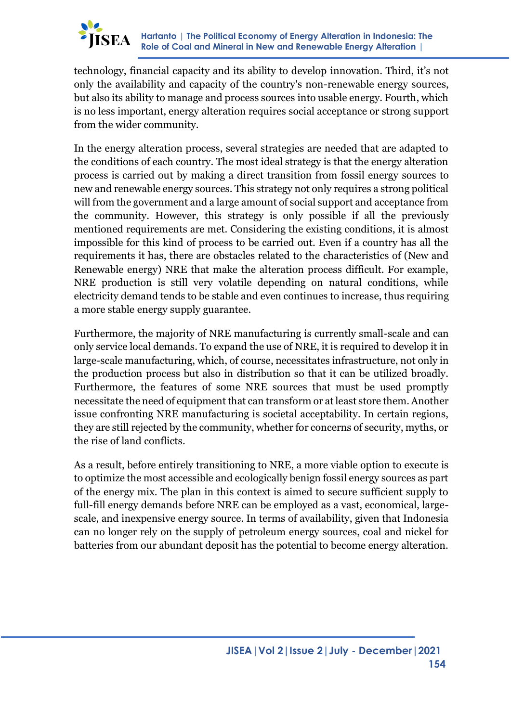

technology, financial capacity and its ability to develop innovation. Third, it's not only the availability and capacity of the country's non-renewable energy sources, but also its ability to manage and process sources into usable energy. Fourth, which is no less important, energy alteration requires social acceptance or strong support from the wider community.

In the energy alteration process, several strategies are needed that are adapted to the conditions of each country. The most ideal strategy is that the energy alteration process is carried out by making a direct transition from fossil energy sources to new and renewable energy sources. This strategy not only requires a strong political will from the government and a large amount of social support and acceptance from the community. However, this strategy is only possible if all the previously mentioned requirements are met. Considering the existing conditions, it is almost impossible for this kind of process to be carried out. Even if a country has all the requirements it has, there are obstacles related to the characteristics of (New and Renewable energy) NRE that make the alteration process difficult. For example, NRE production is still very volatile depending on natural conditions, while electricity demand tends to be stable and even continues to increase, thus requiring a more stable energy supply guarantee.

Furthermore, the majority of NRE manufacturing is currently small-scale and can only service local demands. To expand the use of NRE, it is required to develop it in large-scale manufacturing, which, of course, necessitates infrastructure, not only in the production process but also in distribution so that it can be utilized broadly. Furthermore, the features of some NRE sources that must be used promptly necessitate the need of equipment that can transform or at least store them. Another issue confronting NRE manufacturing is societal acceptability. In certain regions, they are still rejected by the community, whether for concerns of security, myths, or the rise of land conflicts.

As a result, before entirely transitioning to NRE, a more viable option to execute is to optimize the most accessible and ecologically benign fossil energy sources as part of the energy mix. The plan in this context is aimed to secure sufficient supply to full-fill energy demands before NRE can be employed as a vast, economical, largescale, and inexpensive energy source. In terms of availability, given that Indonesia can no longer rely on the supply of petroleum energy sources, coal and nickel for batteries from our abundant deposit has the potential to become energy alteration.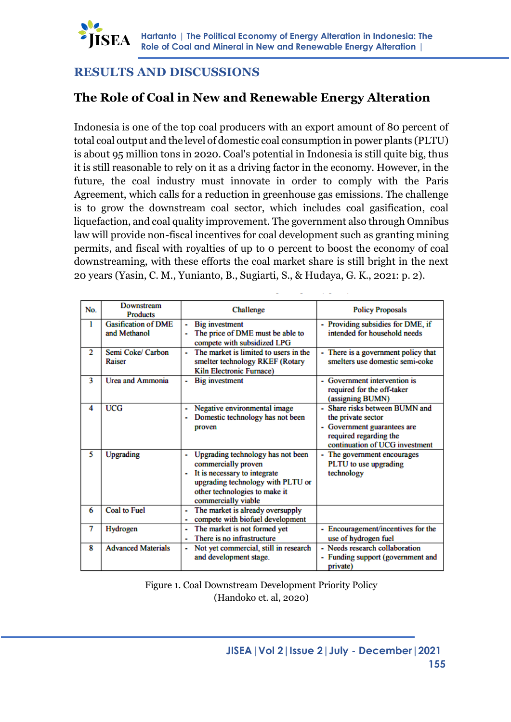

### **RESULTS AND DISCUSSIONS**

### **The Role of Coal in New and Renewable Energy Alteration**

Indonesia is one of the top coal producers with an export amount of 80 percent of total coal output and the level of domestic coal consumption in power plants (PLTU) is about 95 million tons in 2020. Coal's potential in Indonesia is still quite big, thus it is still reasonable to rely on it as a driving factor in the economy. However, in the future, the coal industry must innovate in order to comply with the Paris Agreement, which calls for a reduction in greenhouse gas emissions. The challenge is to grow the downstream coal sector, which includes coal gasification, coal liquefaction, and coal quality improvement. The government also through Omnibus law will provide non-fiscal incentives for coal development such as granting mining permits, and fiscal with royalties of up to 0 percent to boost the economy of coal downstreaming, with these efforts the coal market share is still bright in the next 20 years (Yasin, C. M., Yunianto, B., Sugiarti, S., & Hudaya, G. K., 2021: p. 2).

| No. | Downstream<br><b>Products</b>              | Challenge                                                                                                                                                                                  | <b>Policy Proposals</b>                                                                                                                     |
|-----|--------------------------------------------|--------------------------------------------------------------------------------------------------------------------------------------------------------------------------------------------|---------------------------------------------------------------------------------------------------------------------------------------------|
| ı   | <b>Gasification of DME</b><br>and Methanol | <b>Big investment</b><br>The price of DME must be able to<br>compete with subsidized LPG                                                                                                   | - Providing subsidies for DME, if<br>intended for household needs                                                                           |
| 2   | Semi Coke/ Carbon<br>Raiser                | The market is limited to users in the<br>٠<br>smelter technology RKEF (Rotary<br><b>Kiln Electronic Furnace)</b>                                                                           | There is a government policy that<br>smelters use domestic semi-coke                                                                        |
| 3   | <b>Urea and Ammonia</b>                    | <b>Big investment</b>                                                                                                                                                                      | Government intervention is<br>required for the off-taker<br>(assigning BUMN)                                                                |
| 4   | UCG                                        | Negative environmental image<br>Domestic technology has not been<br>٠<br>proven                                                                                                            | Share risks between BUMN and<br>the private sector<br>Government guarantees are<br>required regarding the<br>continuation of UCG investment |
| 5   | <b>Upgrading</b>                           | Upgrading technology has not been<br>commercially proven<br>It is necessary to integrate<br>٠<br>upgrading technology with PLTU or<br>other technologies to make it<br>commercially viable | - The government encourages<br>PLTU to use upgrading<br>technology                                                                          |
| 6   | <b>Coal to Fuel</b>                        | The market is already oversupply<br>compete with biofuel development<br>۰                                                                                                                  |                                                                                                                                             |
| 7   | Hydrogen                                   | The market is not formed yet<br>There is no infrastructure<br>٠                                                                                                                            | - Encouragement/incentives for the<br>use of hydrogen fuel                                                                                  |
| 8   | <b>Advanced Materials</b>                  | Not yet commercial, still in research<br>۰<br>and development stage.                                                                                                                       | - Needs research collaboration<br>- Funding support (government and<br>private)                                                             |

Figure 1. Coal Downstream Development Priority Policy (Handoko et. al, 2020)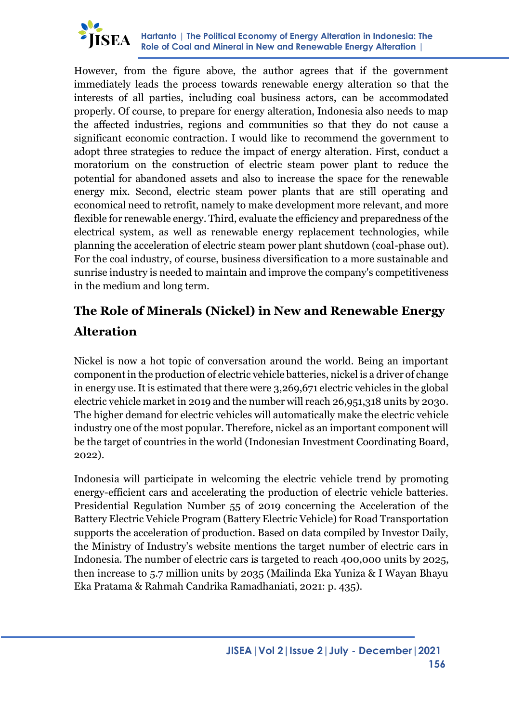

However, from the figure above, the author agrees that if the government immediately leads the process towards renewable energy alteration so that the interests of all parties, including coal business actors, can be accommodated properly. Of course, to prepare for energy alteration, Indonesia also needs to map the affected industries, regions and communities so that they do not cause a significant economic contraction. I would like to recommend the government to adopt three strategies to reduce the impact of energy alteration. First, conduct a moratorium on the construction of electric steam power plant to reduce the potential for abandoned assets and also to increase the space for the renewable energy mix. Second, electric steam power plants that are still operating and economical need to retrofit, namely to make development more relevant, and more flexible for renewable energy. Third, evaluate the efficiency and preparedness of the electrical system, as well as renewable energy replacement technologies, while planning the acceleration of electric steam power plant shutdown (coal-phase out). For the coal industry, of course, business diversification to a more sustainable and sunrise industry is needed to maintain and improve the company's competitiveness in the medium and long term.

# **The Role of Minerals (Nickel) in New and Renewable Energy Alteration**

Nickel is now a hot topic of conversation around the world. Being an important component in the production of electric vehicle batteries, nickel is a driver of change in energy use. It is estimated that there were 3,269,671 electric vehicles in the global electric vehicle market in 2019 and the number will reach 26,951,318 units by 2030. The higher demand for electric vehicles will automatically make the electric vehicle industry one of the most popular. Therefore, nickel as an important component will be the target of countries in the world (Indonesian Investment Coordinating Board, 2022).

Indonesia will participate in welcoming the electric vehicle trend by promoting energy-efficient cars and accelerating the production of electric vehicle batteries. Presidential Regulation Number 55 of 2019 concerning the Acceleration of the Battery Electric Vehicle Program (Battery Electric Vehicle) for Road Transportation supports the acceleration of production. Based on data compiled by Investor Daily, the Ministry of Industry's website mentions the target number of electric cars in Indonesia. The number of electric cars is targeted to reach 400,000 units by 2025, then increase to 5.7 million units by 2035 (Mailinda Eka Yuniza & I Wayan Bhayu Eka Pratama & Rahmah Candrika Ramadhaniati, 2021: p. 435).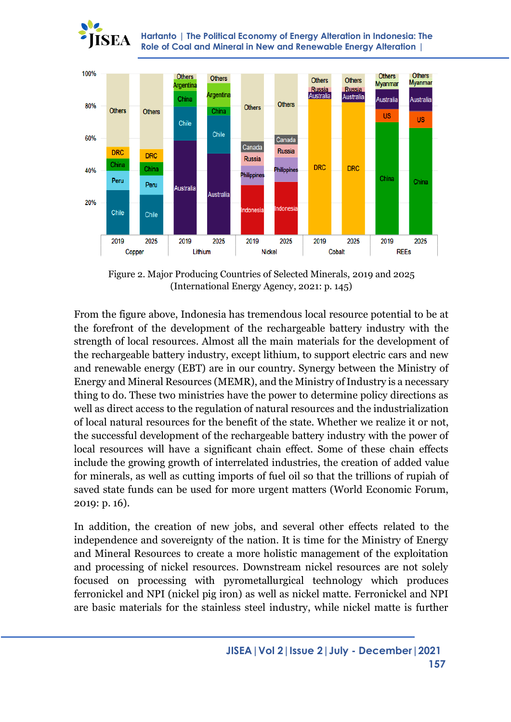

**Hartanto | The Political Economy of Energy Alteration in Indonesia: The Role of Coal and Mineral in New and Renewable Energy Alteration |** 



Figure 2. Major Producing Countries of Selected Minerals, 2019 and 2025 (International Energy Agency, 2021: p. 145)

From the figure above, Indonesia has tremendous local resource potential to be at the forefront of the development of the rechargeable battery industry with the strength of local resources. Almost all the main materials for the development of the rechargeable battery industry, except lithium, to support electric cars and new and renewable energy (EBT) are in our country. Synergy between the Ministry of Energy and Mineral Resources (MEMR), and the Ministry of Industry is a necessary thing to do. These two ministries have the power to determine policy directions as well as direct access to the regulation of natural resources and the industrialization of local natural resources for the benefit of the state. Whether we realize it or not, the successful development of the rechargeable battery industry with the power of local resources will have a significant chain effect. Some of these chain effects include the growing growth of interrelated industries, the creation of added value for minerals, as well as cutting imports of fuel oil so that the trillions of rupiah of saved state funds can be used for more urgent matters (World Economic Forum, 2019: p. 16).

In addition, the creation of new jobs, and several other effects related to the independence and sovereignty of the nation. It is time for the Ministry of Energy and Mineral Resources to create a more holistic management of the exploitation and processing of nickel resources. Downstream nickel resources are not solely focused on processing with pyrometallurgical technology which produces ferronickel and NPI (nickel pig iron) as well as nickel matte. Ferronickel and NPI are basic materials for the stainless steel industry, while nickel matte is further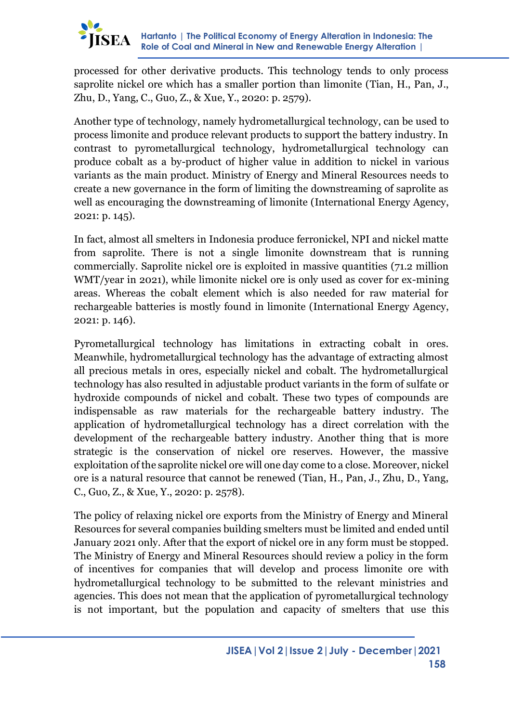

processed for other derivative products. This technology tends to only process saprolite nickel ore which has a smaller portion than limonite (Tian, H., Pan, J., Zhu, D., Yang, C., Guo, Z., & Xue, Y., 2020: p. 2579).

Another type of technology, namely hydrometallurgical technology, can be used to process limonite and produce relevant products to support the battery industry. In contrast to pyrometallurgical technology, hydrometallurgical technology can produce cobalt as a by-product of higher value in addition to nickel in various variants as the main product. Ministry of Energy and Mineral Resources needs to create a new governance in the form of limiting the downstreaming of saprolite as well as encouraging the downstreaming of limonite (International Energy Agency, 2021: p. 145).

In fact, almost all smelters in Indonesia produce ferronickel, NPI and nickel matte from saprolite. There is not a single limonite downstream that is running commercially. Saprolite nickel ore is exploited in massive quantities (71.2 million WMT/year in 2021), while limonite nickel ore is only used as cover for ex-mining areas. Whereas the cobalt element which is also needed for raw material for rechargeable batteries is mostly found in limonite (International Energy Agency, 2021: p. 146).

Pyrometallurgical technology has limitations in extracting cobalt in ores. Meanwhile, hydrometallurgical technology has the advantage of extracting almost all precious metals in ores, especially nickel and cobalt. The hydrometallurgical technology has also resulted in adjustable product variants in the form of sulfate or hydroxide compounds of nickel and cobalt. These two types of compounds are indispensable as raw materials for the rechargeable battery industry. The application of hydrometallurgical technology has a direct correlation with the development of the rechargeable battery industry. Another thing that is more strategic is the conservation of nickel ore reserves. However, the massive exploitation of the saprolite nickel ore will one day come to a close. Moreover, nickel ore is a natural resource that cannot be renewed (Tian, H., Pan, J., Zhu, D., Yang, C., Guo, Z., & Xue, Y., 2020: p. 2578).

The policy of relaxing nickel ore exports from the Ministry of Energy and Mineral Resources for several companies building smelters must be limited and ended until January 2021 only. After that the export of nickel ore in any form must be stopped. The Ministry of Energy and Mineral Resources should review a policy in the form of incentives for companies that will develop and process limonite ore with hydrometallurgical technology to be submitted to the relevant ministries and agencies. This does not mean that the application of pyrometallurgical technology is not important, but the population and capacity of smelters that use this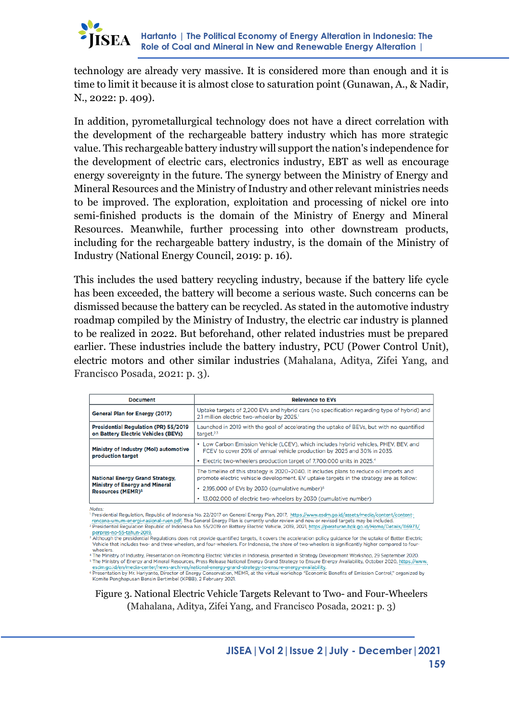

technology are already very massive. It is considered more than enough and it is time to limit it because it is almost close to saturation point (Gunawan, A., & Nadir, N., 2022: p. 409).

In addition, pyrometallurgical technology does not have a direct correlation with the development of the rechargeable battery industry which has more strategic value. This rechargeable battery industry will support the nation's independence for the development of electric cars, electronics industry, EBT as well as encourage energy sovereignty in the future. The synergy between the Ministry of Energy and Mineral Resources and the Ministry of Industry and other relevant ministries needs to be improved. The exploration, exploitation and processing of nickel ore into semi-finished products is the domain of the Ministry of Energy and Mineral Resources. Meanwhile, further processing into other downstream products, including for the rechargeable battery industry, is the domain of the Ministry of Industry (National Energy Council, 2019: p. 16).

This includes the used battery recycling industry, because if the battery life cycle has been exceeded, the battery will become a serious waste. Such concerns can be dismissed because the battery can be recycled. As stated in the automotive industry roadmap compiled by the Ministry of Industry, the electric car industry is planned to be realized in 2022. But beforehand, other related industries must be prepared earlier. These industries include the battery industry, PCU (Power Control Unit), electric motors and other similar industries (Mahalana, Aditya, Zifei Yang, and Francisco Posada, 2021: p. 3).

| <b>Document</b>                                                                    | <b>Relevance to EVs</b>                                                                                                                                                                                                                   |  |
|------------------------------------------------------------------------------------|-------------------------------------------------------------------------------------------------------------------------------------------------------------------------------------------------------------------------------------------|--|
| <b>General Plan for Energy (2017)</b>                                              | Uptake targets of 2,200 EVs and hybrid cars (no specification regarding type of hybrid) and<br>2.1 million electric two-wheeler by 2025. <sup>1</sup>                                                                                     |  |
| <b>Presidential Regulation (PR) 55/2019</b><br>on Battery Electric Vehicles (BEVs) | Launched in 2019 with the goal of accelerating the uptake of BEVs, but with no quantified<br>target <sup>2,3</sup>                                                                                                                        |  |
| Ministry of Industry (Mol) automotive<br>production target                         | • Low Carbon Emission Vehicle (LCEV), which includes hybrid vehicles, PHEV, BEV, and<br>FCEV to cover 20% of annual vehicle production by 2025 and 30% in 2035.<br>• Electric two-wheelers production target of 7,700,000 units in 2025.4 |  |
| <b>National Energy Grand Strategy,</b><br><b>Ministry of Energy and Mineral</b>    | The timeline of this strategy is 2020-2040. It includes plans to reduce oil imports and<br>promote electric vehiscle development. EV uptake targets in the strategy are as follow:                                                        |  |
| <b>Resources (MEMR)<sup>5</sup></b>                                                | • 2,195,000 of EVs by 2030 (cumulative number) <sup>6</sup><br>• 13,002,000 of electric two-wheelers by 2030 (cumulative number)                                                                                                          |  |

Notes:

Presidential Regulation, Republic of Indonesia No. 22/2017 on General Energy Plan, 2017, https://www.esdm.go.id/assets/media/content/contentrencana-umum-energi-nasional-ruen.pdf. The General Energy Plan is currently under review and new or revised targets may be included

<sup>2</sup> Presidential Regulation Republic of Indonesia No. 55/2019 on Battery Electric Vehicle, 2019, 2021, https://peraturan.bpk.go.id/Home/Details/116973/ Presidential Regulation Republic or Indonesia No. 55/2019 on Battery Electric Venicle, 2019, 2021, https://peraturan.ppk.go.lo/.html?/Uetalls/ [1997.57]<br>Perpres-no-55-tahun-2019,<br>Although the presidential Regulations does

Vehicle that includes two- and three-wheelers, and four-wheelers. For Indonesia, the share of two-wheelers is significantly higher compared to fourwheelers

4 The Ministry of Industry, Presentation on Promoting Electric Vehicles in Indonesia, presented in Strategy Development Workshop, 29 September 2020. in emiliaty of Energy and Mineral Resources, Press Release National Energy Grand Strategy to Ensure Energy Availability, October 2020, https://www.<br>The Ministry of Energy and Mineral Resources, Press Release National Energ

esdm.go.id/en/media-center/news-archives/national-energy-grand-strategy-to-ensure-energy-availability. The media-center/news-archives/national-energy-grand-strategy-to-ensure-energy-availability.<br>Fresentation by Mr. Hariya Komite Penghapusan Bensin Bertimbel (KPBB), 2 February 2021

Figure 3. National Electric Vehicle Targets Relevant to Two- and Four-Wheelers (Mahalana, Aditya, Zifei Yang, and Francisco Posada, 2021: p. 3)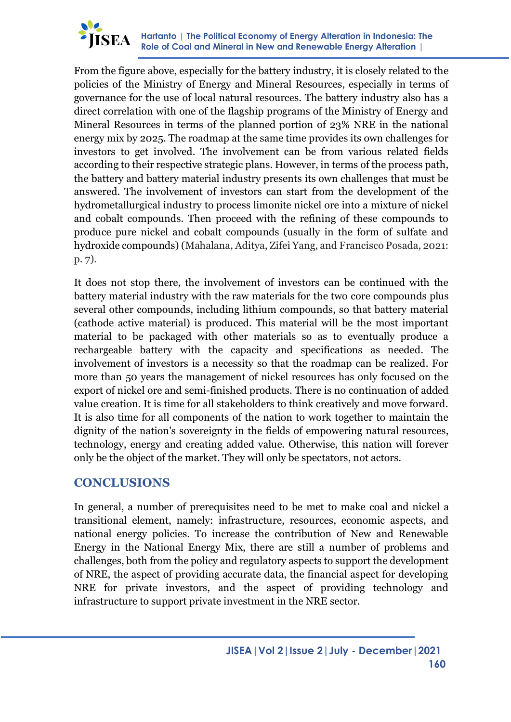

From the figure above, especially for the battery industry, it is closely related to the policies of the Ministry of Energy and Mineral Resources, especially in terms of governance for the use of local natural resources. The battery industry also has a direct correlation with one of the flagship programs of the Ministry of Energy and Mineral Resources in terms of the planned portion of 23% NRE in the national energy mix by 2025. The roadmap at the same time provides its own challenges for investors to get involved. The involvement can be from various related fields according to their respective strategic plans. However, in terms of the process path, the battery and battery material industry presents its own challenges that must be answered. The involvement of investors can start from the development of the hydrometallurgical industry to process limonite nickel ore into a mixture of nickel and cobalt compounds. Then proceed with the refining of these compounds to produce pure nickel and cobalt compounds (usually in the form of sulfate and hydroxide compounds) (Mahalana, Aditya, Zifei Yang, and Francisco Posada, 2021: p. 7).

It does not stop there, the involvement of investors can be continued with the battery material industry with the raw materials for the two core compounds plus several other compounds, including lithium compounds, so that battery material (cathode active material) is produced. This material will be the most important material to be packaged with other materials so as to eventually produce a rechargeable battery with the capacity and specifications as needed. The involvement of investors is a necessity so that the roadmap can be realized. For more than 50 years the management of nickel resources has only focused on the export of nickel ore and semi-finished products. There is no continuation of added value creation. It is time for all stakeholders to think creatively and move forward. It is also time for all components of the nation to work together to maintain the dignity of the nation's sovereignty in the fields of empowering natural resources, technology, energy and creating added value. Otherwise, this nation will forever only be the object of the market. They will only be spectators, not actors.

### **CONCLUSIONS**

In general, a number of prerequisites need to be met to make coal and nickel a transitional element, namely: infrastructure, resources, economic aspects, and national energy policies. To increase the contribution of New and Renewable Energy in the National Energy Mix, there are still a number of problems and challenges, both from the policy and regulatory aspects to support the development of NRE, the aspect of providing accurate data, the financial aspect for developing NRE for private investors, and the aspect of providing technology and infrastructure to support private investment in the NRE sector.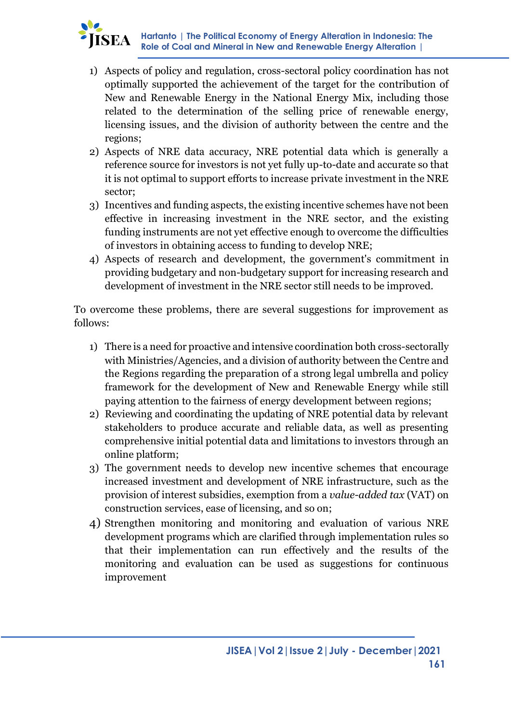

- 1) Aspects of policy and regulation, cross-sectoral policy coordination has not optimally supported the achievement of the target for the contribution of New and Renewable Energy in the National Energy Mix, including those related to the determination of the selling price of renewable energy, licensing issues, and the division of authority between the centre and the regions;
- 2) Aspects of NRE data accuracy, NRE potential data which is generally a reference source for investors is not yet fully up-to-date and accurate so that it is not optimal to support efforts to increase private investment in the NRE sector;
- 3) Incentives and funding aspects, the existing incentive schemes have not been effective in increasing investment in the NRE sector, and the existing funding instruments are not yet effective enough to overcome the difficulties of investors in obtaining access to funding to develop NRE;
- 4) Aspects of research and development, the government's commitment in providing budgetary and non-budgetary support for increasing research and development of investment in the NRE sector still needs to be improved.

To overcome these problems, there are several suggestions for improvement as follows:

- 1) There is a need for proactive and intensive coordination both cross-sectorally with Ministries/Agencies, and a division of authority between the Centre and the Regions regarding the preparation of a strong legal umbrella and policy framework for the development of New and Renewable Energy while still paying attention to the fairness of energy development between regions;
- 2) Reviewing and coordinating the updating of NRE potential data by relevant stakeholders to produce accurate and reliable data, as well as presenting comprehensive initial potential data and limitations to investors through an online platform;
- 3) The government needs to develop new incentive schemes that encourage increased investment and development of NRE infrastructure, such as the provision of interest subsidies, exemption from a *value-added tax* (VAT) on construction services, ease of licensing, and so on;
- 4) Strengthen monitoring and monitoring and evaluation of various NRE development programs which are clarified through implementation rules so that their implementation can run effectively and the results of the monitoring and evaluation can be used as suggestions for continuous improvement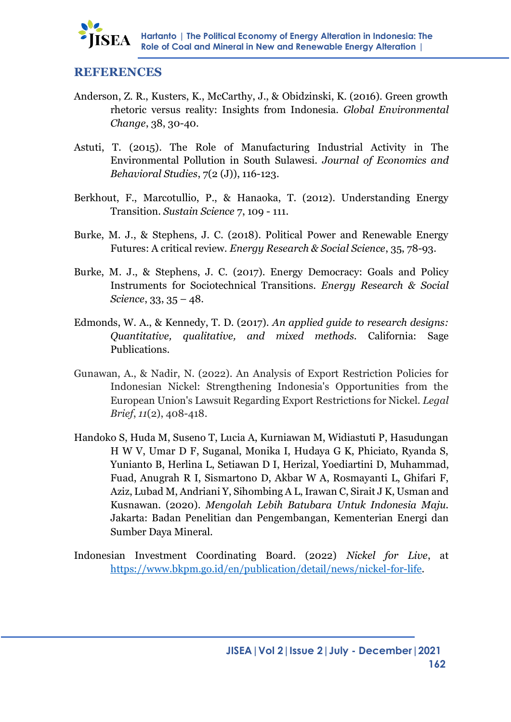

#### **REFERENCES**

- Anderson, Z. R., Kusters, K., McCarthy, J., & Obidzinski, K. (2016). Green growth rhetoric versus reality: Insights from Indonesia. *Global Environmental Change*, 38, 30-40.
- Astuti, T. (2015). The Role of Manufacturing Industrial Activity in The Environmental Pollution in South Sulawesi. *Journal of Economics and Behavioral Studies*, 7(2 (J)), 116-123.
- Berkhout, F., Marcotullio, P., & Hanaoka, T. (2012). Understanding Energy Transition. *Sustain Science* 7, 109 - 111.
- Burke, M. J., & Stephens, J. C. (2018). Political Power and Renewable Energy Futures: A critical review. *Energy Research & Social Science*, 35, 78-93.
- Burke, M. J., & Stephens, J. C. (2017). Energy Democracy: Goals and Policy Instruments for Sociotechnical Transitions. *Energy Research & Social Science*, 33, 35 – 48.
- Edmonds, W. A., & Kennedy, T. D. (2017). *An applied guide to research designs: Quantitative, qualitative, and mixed methods.* California: Sage Publications.
- Gunawan, A., & Nadir, N. (2022). An Analysis of Export Restriction Policies for Indonesian Nickel: Strengthening Indonesia's Opportunities from the European Union's Lawsuit Regarding Export Restrictions for Nickel. *Legal Brief*, *11*(2), 408-418.
- Handoko S, Huda M, Suseno T, Lucia A, Kurniawan M, Widiastuti P, Hasudungan H W V, Umar D F, Suganal, Monika I, Hudaya G K, Phiciato, Ryanda S, Yunianto B, Herlina L, Setiawan D I, Herizal, Yoediartini D, Muhammad, Fuad, Anugrah R I, Sismartono D, Akbar W A, Rosmayanti L, Ghifari F, Aziz, Lubad M, Andriani Y, Sihombing A L, Irawan C, Sirait J K, Usman and Kusnawan. (2020). *Mengolah Lebih Batubara Untuk Indonesia Maju.*  Jakarta: Badan Penelitian dan Pengembangan, Kementerian Energi dan Sumber Daya Mineral.
- Indonesian Investment Coordinating Board. (2022) *Nickel for Live*, at [https://www.bkpm.go.id/en/publication/detail/news/nickel-for-life.](https://www.bkpm.go.id/en/publication/detail/news/nickel-for-life)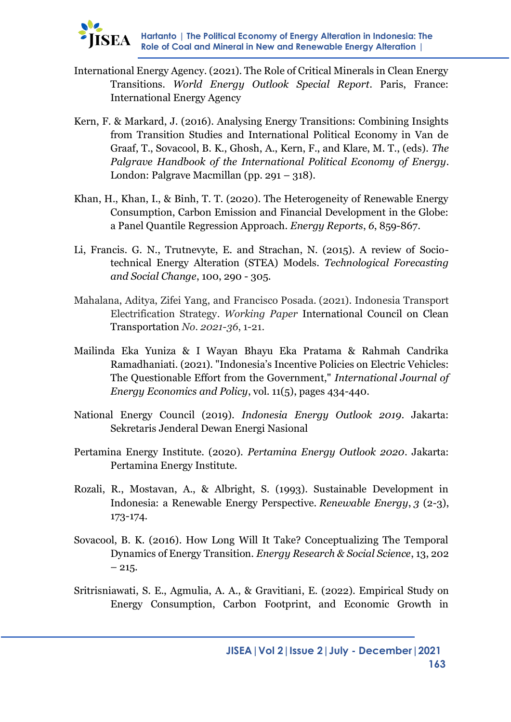- International Energy Agency. (2021). The Role of Critical Minerals in Clean Energy Transitions. *World Energy Outlook Special Report*. Paris, France: International Energy Agency
- Kern, F. & Markard, J. (2016). Analysing Energy Transitions: Combining Insights from Transition Studies and International Political Economy in Van de Graaf, T., Sovacool, B. K., Ghosh, A., Kern, F., and Klare, M. T., (eds). *The Palgrave Handbook of the International Political Economy of Energy*. London: Palgrave Macmillan (pp. 291 – 318).
- Khan, H., Khan, I., & Binh, T. T. (2020). The Heterogeneity of Renewable Energy Consumption, Carbon Emission and Financial Development in the Globe: a Panel Quantile Regression Approach. *Energy Reports*, *6*, 859-867.
- Li, Francis. G. N., Trutnevyte, E. and Strachan, N. (2015). A review of Sociotechnical Energy Alteration (STEA) Models. *Technological Forecasting and Social Change*, 100, 290 - 305.
- Mahalana, Aditya, Zifei Yang, and Francisco Posada. (2021). Indonesia Transport Electrification Strategy. *Working Paper* International Council on Clean Transportation *No. 2021-36*, 1-21.
- Mailinda Eka Yuniza & I Wayan Bhayu Eka Pratama & Rahmah Candrika Ramadhaniati. (2021). "Indonesia's Incentive Policies on Electric Vehicles: The Questionable Effort from the Government," *International Journal of Energy Economics and Policy*, vol. 11(5), pages 434-440.
- National Energy Council (2019). *Indonesia Energy Outlook 2019*. Jakarta: Sekretaris Jenderal Dewan Energi Nasional
- Pertamina Energy Institute. (2020). *Pertamina Energy Outlook 2020*. Jakarta: Pertamina Energy Institute.
- Rozali, R., Mostavan, A., & Albright, S. (1993). Sustainable Development in Indonesia: a Renewable Energy Perspective. *Renewable Energy*, *3* (2-3), 173-174.
- Sovacool, B. K. (2016). How Long Will It Take? Conceptualizing The Temporal Dynamics of Energy Transition. *Energy Research & Social Science*, 13, 202  $-215.$
- Sritrisniawati, S. E., Agmulia, A. A., & Gravitiani, E. (2022). Empirical Study on Energy Consumption, Carbon Footprint, and Economic Growth in